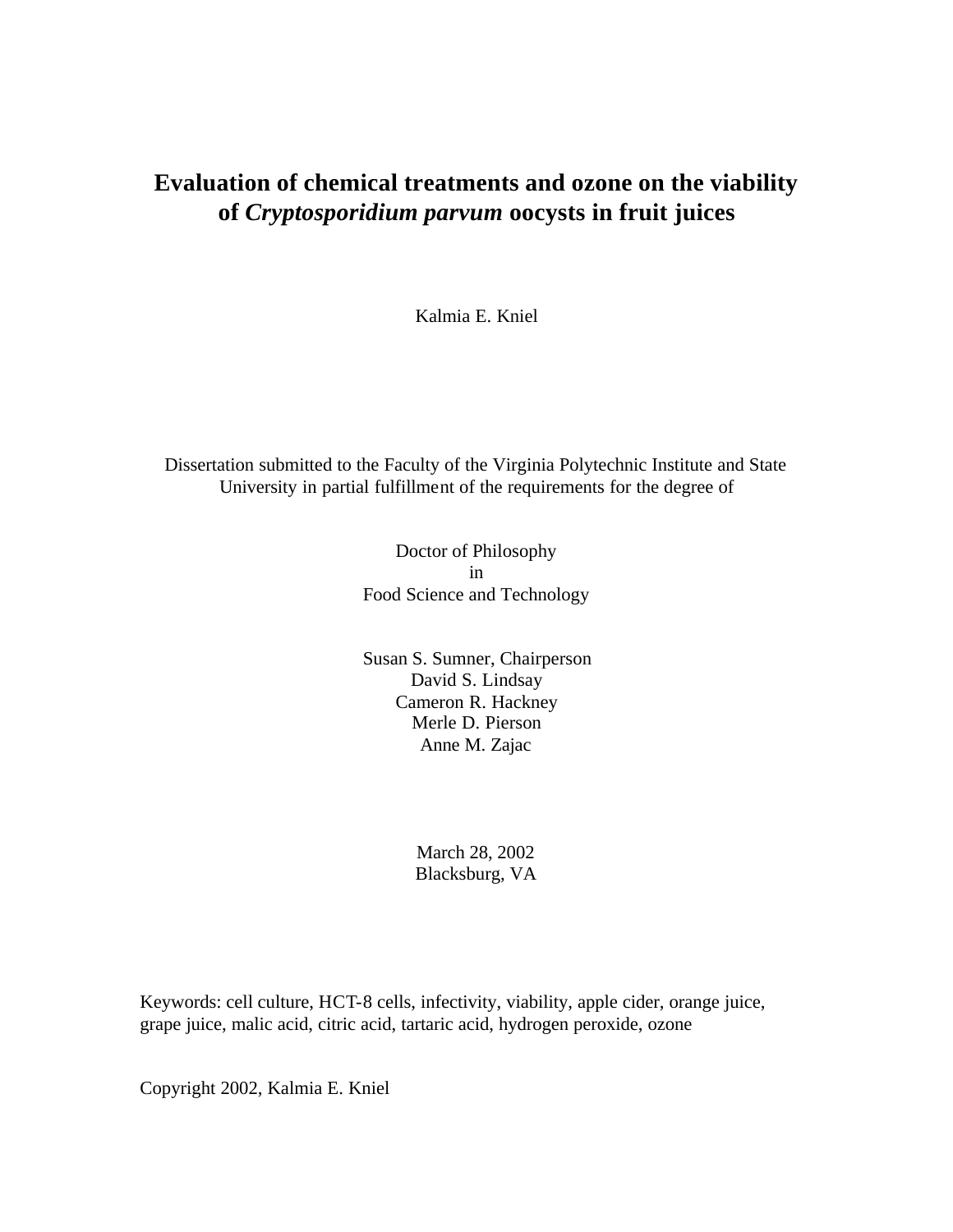# **Evaluation of chemical treatments and ozone on the viability of** *Cryptosporidium parvum* **oocysts in fruit juices**

Kalmia E. Kniel

Dissertation submitted to the Faculty of the Virginia Polytechnic Institute and State University in partial fulfillment of the requirements for the degree of

> Doctor of Philosophy in Food Science and Technology

Susan S. Sumner, Chairperson David S. Lindsay Cameron R. Hackney Merle D. Pierson Anne M. Zajac

> March 28, 2002 Blacksburg, VA

Keywords: cell culture, HCT-8 cells, infectivity, viability, apple cider, orange juice, grape juice, malic acid, citric acid, tartaric acid, hydrogen peroxide, ozone

Copyright 2002, Kalmia E. Kniel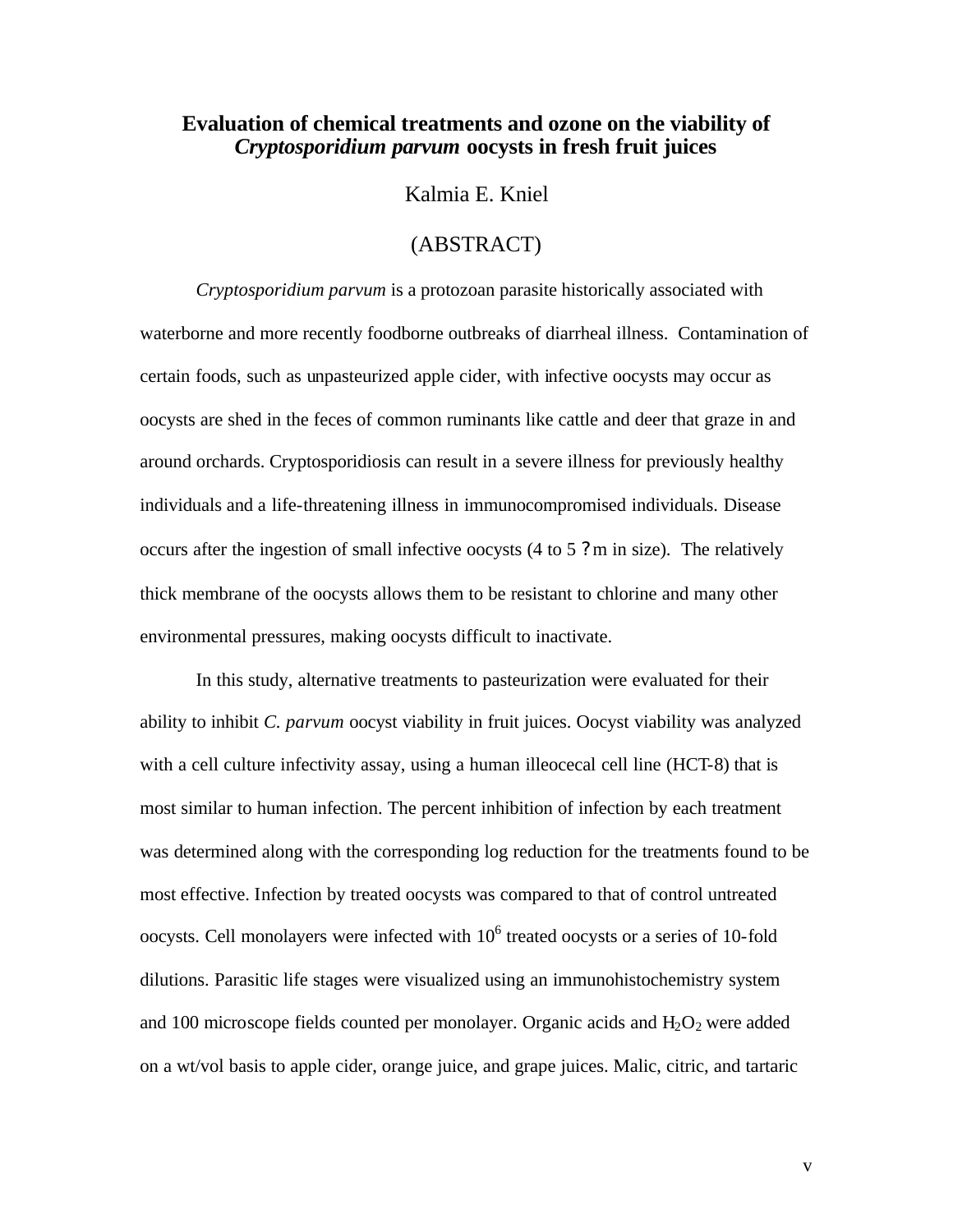#### **Evaluation of chemical treatments and ozone on the viability of** *Cryptosporidium parvum* **oocysts in fresh fruit juices**

Kalmia E. Kniel

#### (ABSTRACT)

*Cryptosporidium parvum* is a protozoan parasite historically associated with waterborne and more recently foodborne outbreaks of diarrheal illness. Contamination of certain foods, such as unpasteurized apple cider, with infective oocysts may occur as oocysts are shed in the feces of common ruminants like cattle and deer that graze in and around orchards. Cryptosporidiosis can result in a severe illness for previously healthy individuals and a life-threatening illness in immunocompromised individuals. Disease occurs after the ingestion of small infective oocysts (4 to 5 ? m in size). The relatively thick membrane of the oocysts allows them to be resistant to chlorine and many other environmental pressures, making oocysts difficult to inactivate.

In this study, alternative treatments to pasteurization were evaluated for their ability to inhibit *C. parvum* oocyst viability in fruit juices. Oocyst viability was analyzed with a cell culture infectivity assay, using a human illeocecal cell line (HCT-8) that is most similar to human infection. The percent inhibition of infection by each treatment was determined along with the corresponding log reduction for the treatments found to be most effective. Infection by treated oocysts was compared to that of control untreated oocysts. Cell monolayers were infected with  $10<sup>6</sup>$  treated oocysts or a series of 10-fold dilutions. Parasitic life stages were visualized using an immunohistochemistry system and 100 microscope fields counted per monolayer. Organic acids and  $H_2O_2$  were added on a wt/vol basis to apple cider, orange juice, and grape juices. Malic, citric, and tartaric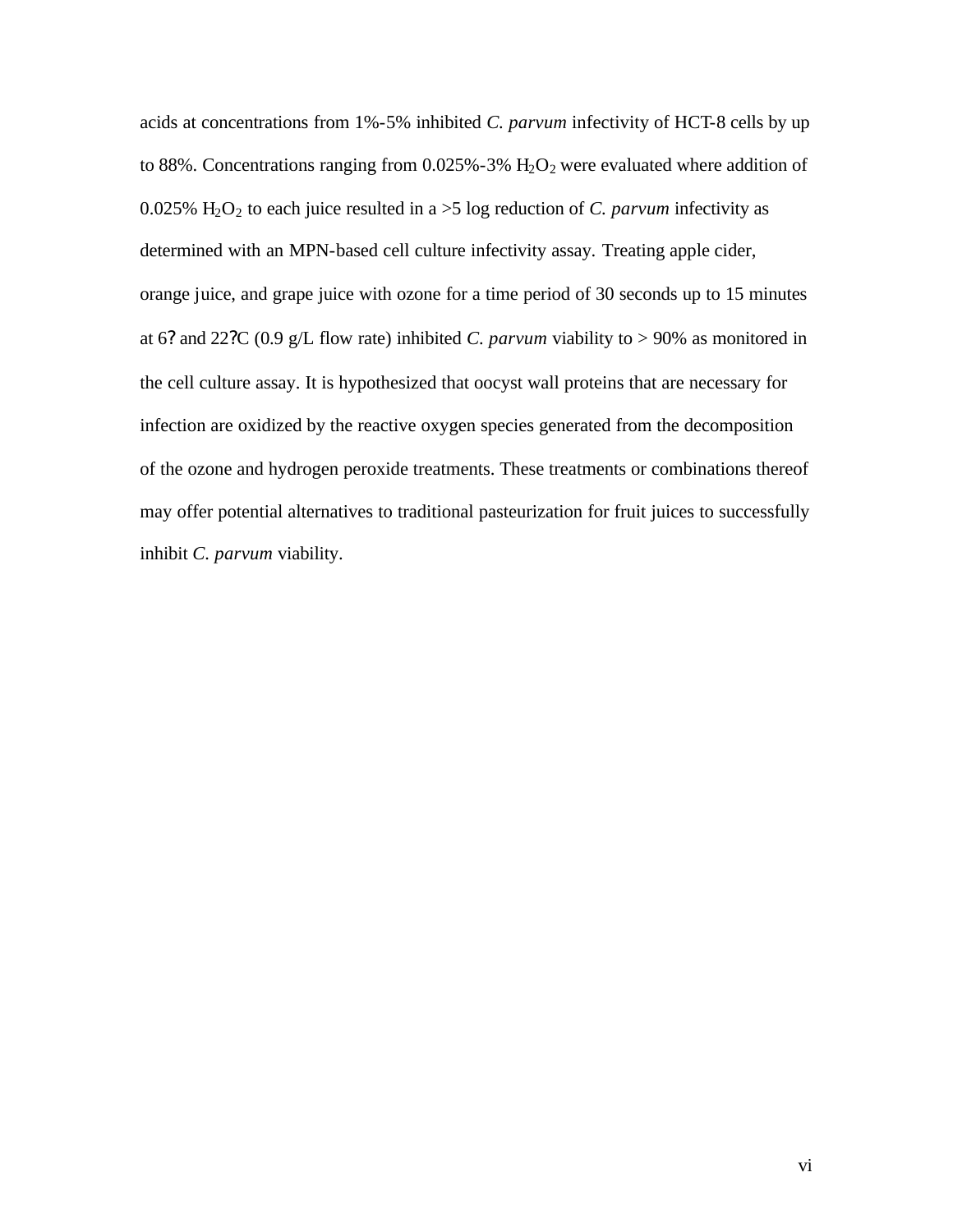acids at concentrations from 1%-5% inhibited *C. parvum* infectivity of HCT-8 cells by up to 88%. Concentrations ranging from  $0.025% - 3%$  H<sub>2</sub>O<sub>2</sub> were evaluated where addition of 0.025%  $H_2O_2$  to each juice resulted in a  $>5$  log reduction of *C. parvum* infectivity as determined with an MPN-based cell culture infectivity assay. Treating apple cider, orange juice, and grape juice with ozone for a time period of 30 seconds up to 15 minutes at 6? and 22?C (0.9 g/L flow rate) inhibited *C. parvum* viability to  $> 90\%$  as monitored in the cell culture assay. It is hypothesized that oocyst wall proteins that are necessary for infection are oxidized by the reactive oxygen species generated from the decomposition of the ozone and hydrogen peroxide treatments. These treatments or combinations thereof may offer potential alternatives to traditional pasteurization for fruit juices to successfully inhibit *C. parvum* viability.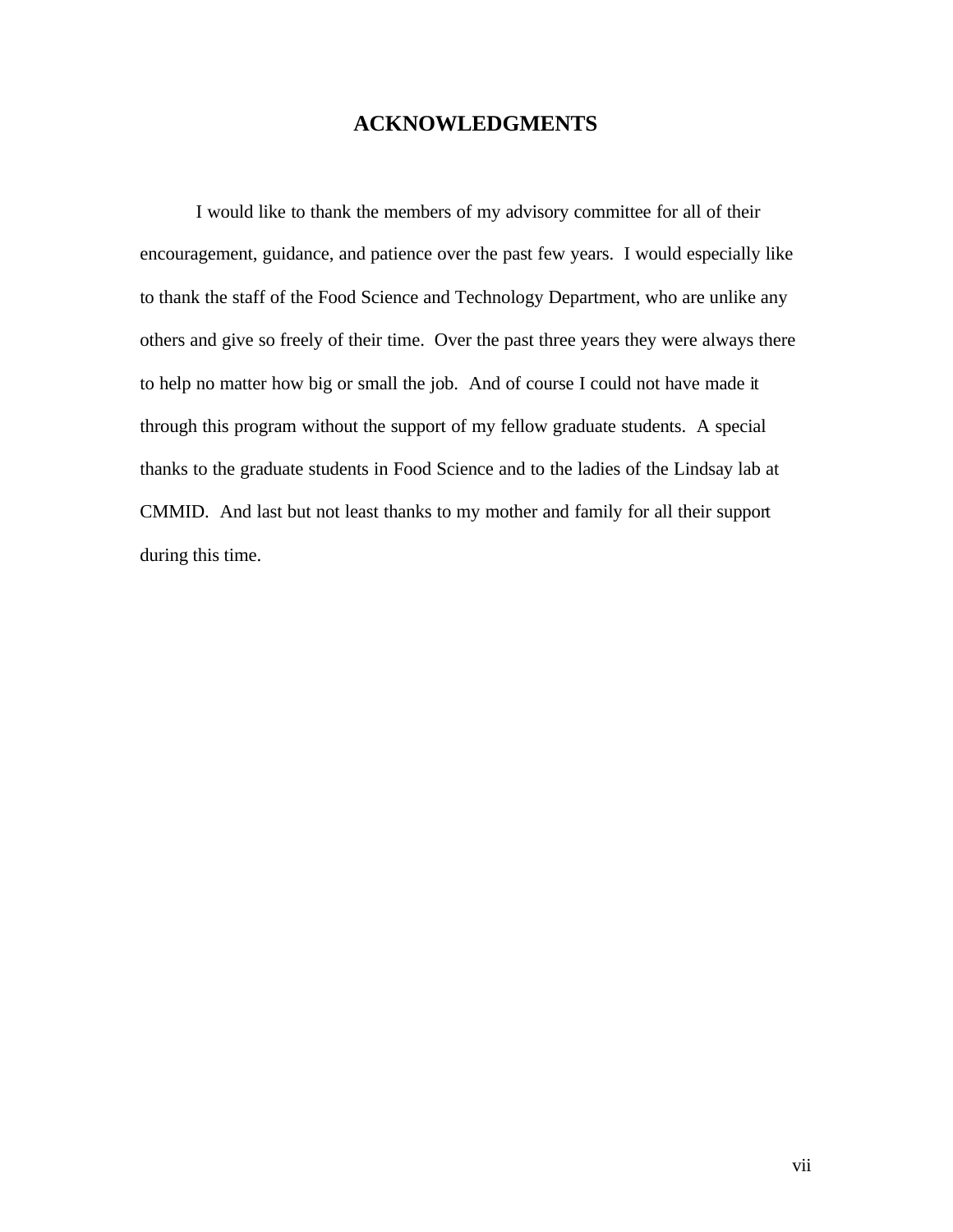### **ACKNOWLEDGMENTS**

I would like to thank the members of my advisory committee for all of their encouragement, guidance, and patience over the past few years. I would especially like to thank the staff of the Food Science and Technology Department, who are unlike any others and give so freely of their time. Over the past three years they were always there to help no matter how big or small the job. And of course I could not have made it through this program without the support of my fellow graduate students. A special thanks to the graduate students in Food Science and to the ladies of the Lindsay lab at CMMID. And last but not least thanks to my mother and family for all their support during this time.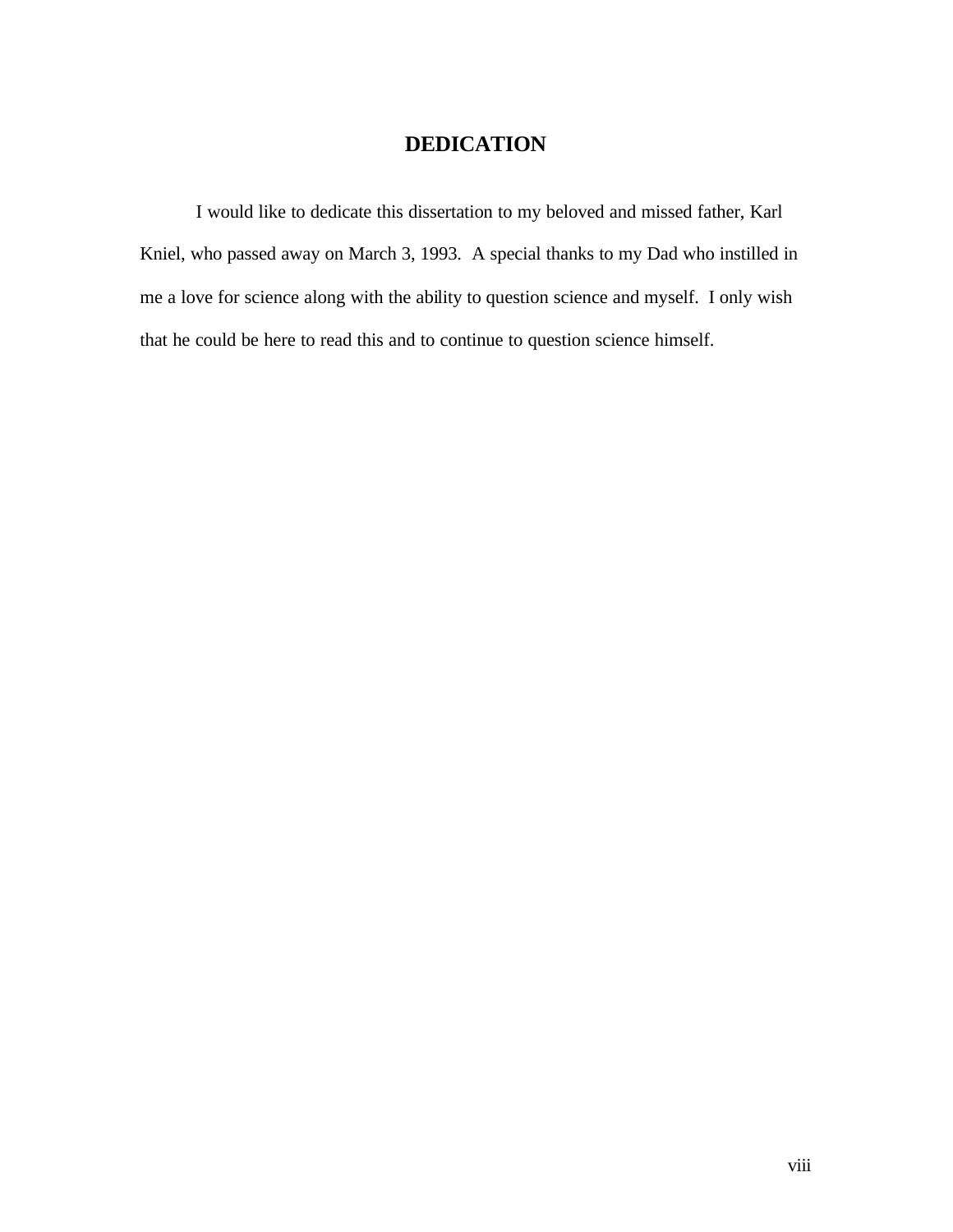## **DEDICATION**

I would like to dedicate this dissertation to my beloved and missed father, Karl Kniel, who passed away on March 3, 1993. A special thanks to my Dad who instilled in me a love for science along with the ability to question science and myself. I only wish that he could be here to read this and to continue to question science himself.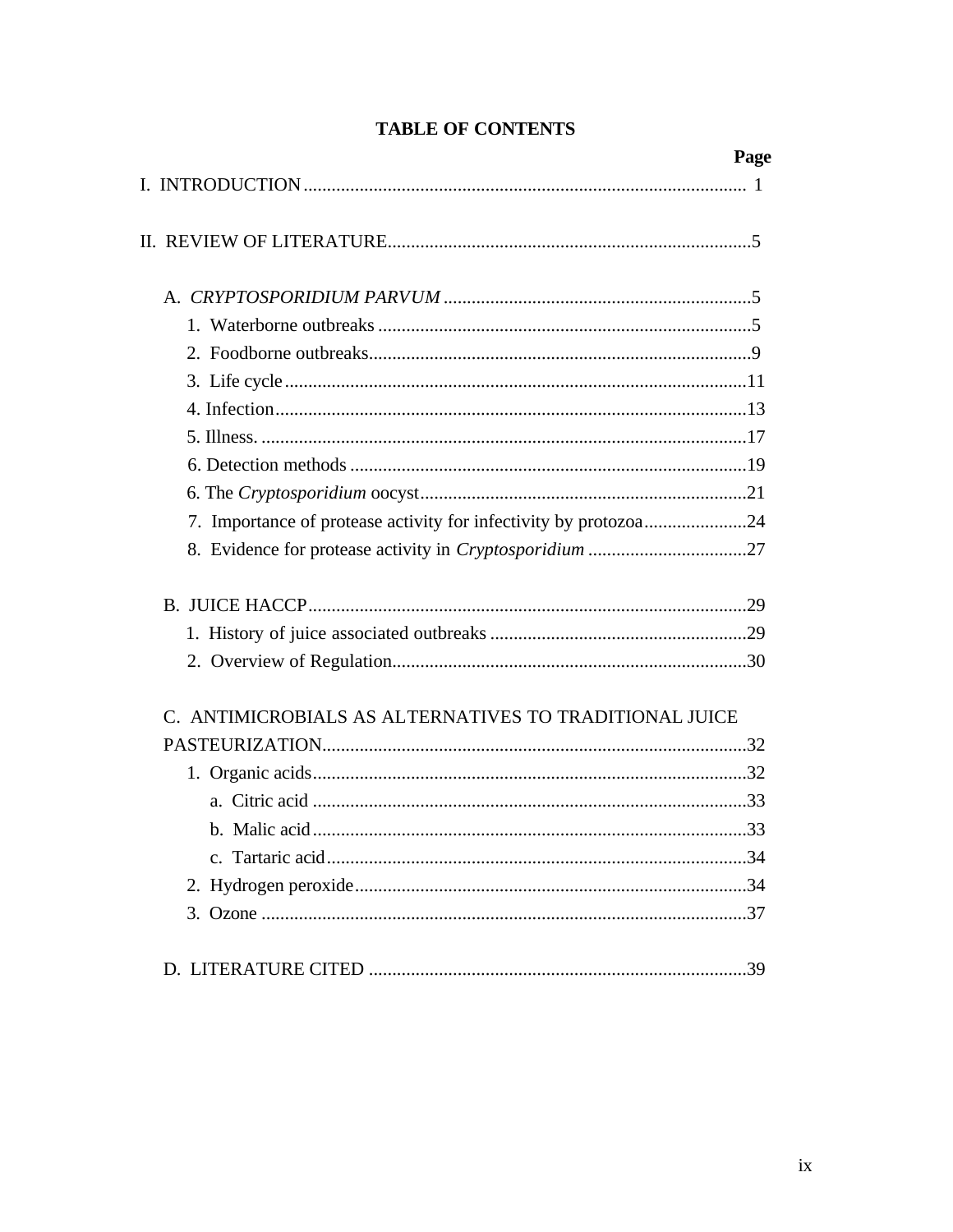|                                                                  | Page |
|------------------------------------------------------------------|------|
|                                                                  |      |
|                                                                  |      |
|                                                                  |      |
|                                                                  |      |
|                                                                  |      |
|                                                                  |      |
|                                                                  |      |
|                                                                  |      |
|                                                                  |      |
|                                                                  |      |
| 7. Importance of protease activity for infectivity by protozoa24 |      |
|                                                                  |      |
|                                                                  |      |
|                                                                  |      |
|                                                                  |      |
| C. ANTIMICROBIALS AS ALTERNATIVES TO TRADITIONAL JUICE           |      |
|                                                                  |      |
|                                                                  |      |
|                                                                  |      |
|                                                                  |      |
|                                                                  |      |
|                                                                  |      |
|                                                                  |      |
|                                                                  |      |

### **TABLE OF CONTENTS**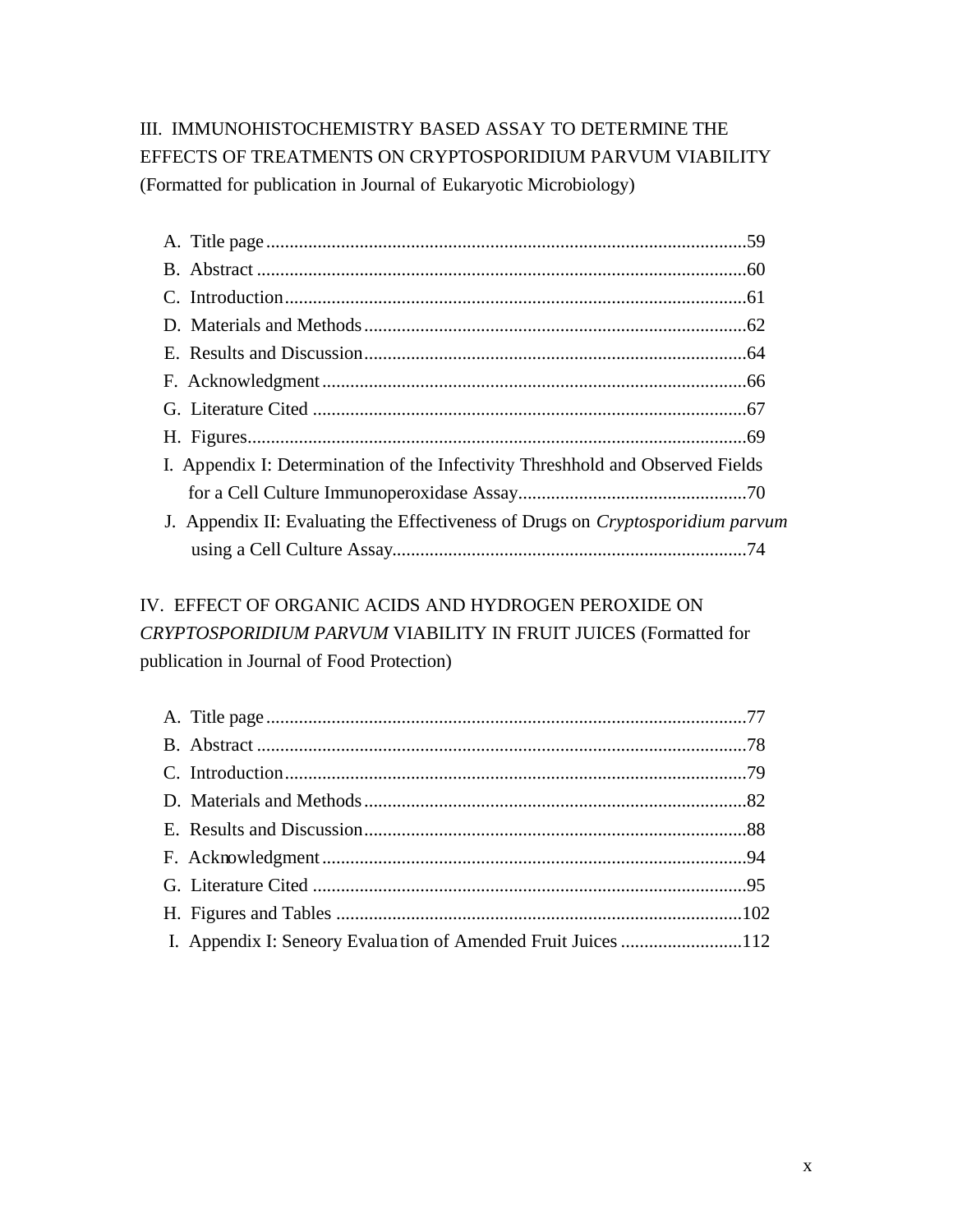# III. IMMUNOHISTOCHEMISTRY BASED ASSAY TO DETERMINE THE EFFECTS OF TREATMENTS ON CRYPTOSPORIDIUM PARVUM VIABILITY (Formatted for publication in Journal of Eukaryotic Microbiology)

| I. Appendix I: Determination of the Infectivity Threshhold and Observed Fields  |  |
|---------------------------------------------------------------------------------|--|
|                                                                                 |  |
| J. Appendix II: Evaluating the Effectiveness of Drugs on Cryptosporidium parvum |  |
|                                                                                 |  |

# IV. EFFECT OF ORGANIC ACIDS AND HYDROGEN PEROXIDE ON *CRYPTOSPORIDIUM PARVUM* VIABILITY IN FRUIT JUICES (Formatted for publication in Journal of Food Protection)

| I. Appendix I: Seneory Evaluation of Amended Fruit Juices 112 |  |
|---------------------------------------------------------------|--|